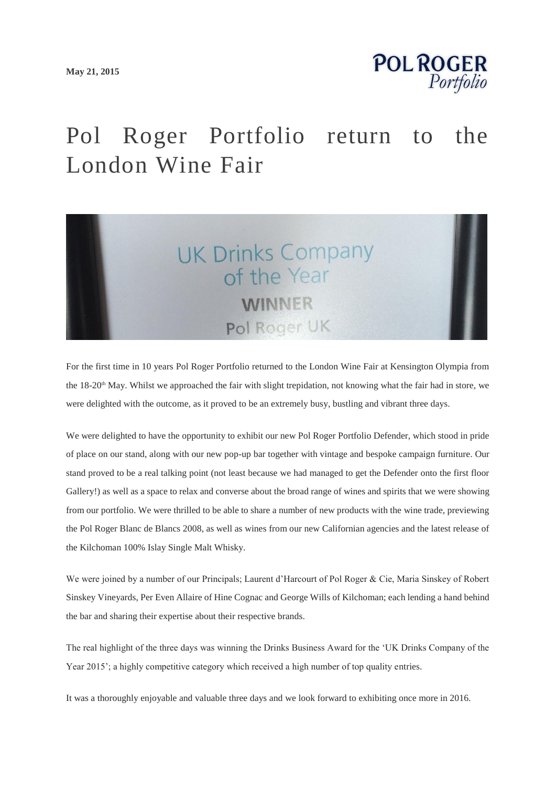

## Pol Roger Portfolio return to the London Wine Fair



For the first time in 10 years Pol Roger Portfolio returned to the London Wine Fair at Kensington Olympia from the 18-20<sup>th</sup> May. Whilst we approached the fair with slight trepidation, not knowing what the fair had in store, we were delighted with the outcome, as it proved to be an extremely busy, bustling and vibrant three days.

We were delighted to have the opportunity to exhibit our new Pol Roger Portfolio Defender, which stood in pride of place on our stand, along with our new pop-up bar together with vintage and bespoke campaign furniture. Our stand proved to be a real talking point (not least because we had managed to get the Defender onto the first floor Gallery!) as well as a space to relax and converse about the broad range of wines and spirits that we were showing from our portfolio. We were thrilled to be able to share a number of new products with the wine trade, previewing the Pol Roger Blanc de Blancs 2008, as well as wines from our new Californian agencies and the latest release of the Kilchoman 100% Islay Single Malt Whisky.

We were joined by a number of our Principals; Laurent d'Harcourt of Pol Roger & Cie, Maria Sinskey of Robert Sinskey Vineyards, Per Even Allaire of Hine Cognac and George Wills of Kilchoman; each lending a hand behind the bar and sharing their expertise about their respective brands.

The real highlight of the three days was winning the Drinks Business Award for the 'UK Drinks Company of the Year 2015'; a highly competitive category which received a high number of top quality entries.

It was a thoroughly enjoyable and valuable three days and we look forward to exhibiting once more in 2016.